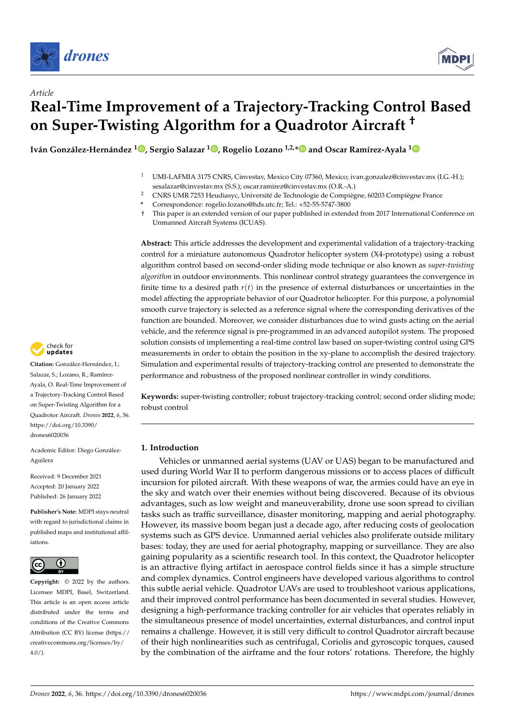



# *Article* **Real-Time Improvement of a Trajectory-Tracking Control Based on Super-Twisting Algorithm for a Quadrotor Aircraft †**

**Iván González-Hernández <sup>1</sup> [,](https://orcid.org/0000-0001-8872-9370) Sergio Salazar <sup>1</sup> [,](https://orcid.org/0000-0002-5089-1791) Rogelio Lozano 1,2,[\\*](https://orcid.org/0000-0002-5730-6313) and Oscar Ramírez-Ayala [1](https://orcid.org/0000-0003-3470-5888)**

- <sup>1</sup> UMI-LAFMIA 3175 CNRS, Cinvestav, Mexico City 07360, Mexico; ivan.gonzalez@cinvestav.mx (I.G.-H.); sesalazar@cinvestav.mx (S.S.); oscar.ramirez@cinvestav.mx (O.R.-A.)
- <sup>2</sup> CNRS UMR 7253 Heudiasyc, Université de Technologie de Compiègne, 60203 Compiègne France
- **\*** Correspondence: rogelio.lozano@hds.utc.fr; Tel.: +52-55-5747-3800
- † This paper is an extended version of our paper published in extended from 2017 International Conference on Unmanned Aircraft Systems (ICUAS).

**Abstract:** This article addresses the development and experimental validation of a trajectory-tracking control for a miniature autonomous Quadrotor helicopter system (X4-prototype) using a robust algorithm control based on second-order sliding mode technique or also known as *super-twisting algorithm* in outdoor environments. This nonlinear control strategy guarantees the convergence in finite time to a desired path  $r(t)$  in the presence of external disturbances or uncertainties in the model affecting the appropriate behavior of our Quadrotor helicopter. For this purpose, a polynomial smooth curve trajectory is selected as a reference signal where the corresponding derivatives of the function are bounded. Moreover, we consider disturbances due to wind gusts acting on the aerial vehicle, and the reference signal is pre-programmed in an advanced autopilot system. The proposed solution consists of implementing a real-time control law based on super-twisting control using GPS measurements in order to obtain the position in the xy-plane to accomplish the desired trajectory. Simulation and experimental results of trajectory-tracking control are presented to demonstrate the performance and robustness of the proposed nonlinear controller in windy conditions.

**Keywords:** super-twisting controller; robust trajectory-tracking control; second order sliding mode; robust control

# **1. Introduction**

Vehicles or unmanned aerial systems (UAV or UAS) began to be manufactured and used during World War II to perform dangerous missions or to access places of difficult incursion for piloted aircraft. With these weapons of war, the armies could have an eye in the sky and watch over their enemies without being discovered. Because of its obvious advantages, such as low weight and maneuverability, drone use soon spread to civilian tasks such as traffic surveillance, disaster monitoring, mapping and aerial photography. However, its massive boom began just a decade ago, after reducing costs of geolocation systems such as GPS device. Unmanned aerial vehicles also proliferate outside military bases: today, they are used for aerial photography, mapping or surveillance. They are also gaining popularity as a scientific research tool. In this context, the Quadrotor helicopter is an attractive flying artifact in aerospace control fields since it has a simple structure and complex dynamics. Control engineers have developed various algorithms to control this subtle aerial vehicle. Quadrotor UAVs are used to troubleshoot various applications, and their improved control performance has been documented in several studies. However, designing a high-performance tracking controller for air vehicles that operates reliably in the simultaneous presence of model uncertainties, external disturbances, and control input remains a challenge. However, it is still very difficult to control Quadrotor aircraft because of their high nonlinearities such as centrifugal, Coriolis and gyroscopic torques, caused by the combination of the airframe and the four rotors' rotations. Therefore, the highly



**Citation:** González-Hernández, I.; Salazar, S.; Lozano, R.; Ramírez-Ayala, O. Real-Time Improvement of a Trajectory-Tracking Control Based on Super-Twisting Algorithm for a Quadrotor Aircraft. *Drones* **2022**, *6*, 36. [https://doi.org/10.3390/](https://doi.org/10.3390/drones6020036) [drones6020036](https://doi.org/10.3390/drones6020036)

Academic Editor: Diego González-Aguilera

Received: 9 December 2021 Accepted: 20 January 2022 Published: 26 January 2022

**Publisher's Note:** MDPI stays neutral with regard to jurisdictional claims in published maps and institutional affiliations.



**Example 16:**<br>
Article<br> **Real-Time Imp**<br> **On Super-Twist**<br>
Transform on Super-Twist<br>
Transform Conzalez-Hermandez<br>
Iván González-Hermandez<br>
Iván González-Hermandez<br>
Ayala, O. Real-Time Improvement of<br>
a Trajectory-Tracking **Copyright:** © 2022 by the authors. Licensee MDPI, Basel, Switzerland. This article is an open access article distributed under the terms and conditions of the Creative Commons Attribution (CC BY) license [\(https://](https://creativecommons.org/licenses/by/4.0/) [creativecommons.org/licenses/by/](https://creativecommons.org/licenses/by/4.0/)  $4.0/$ ).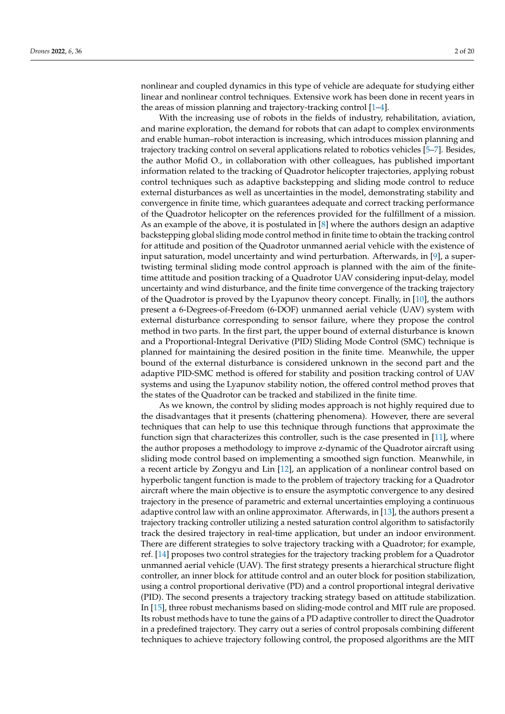nonlinear and coupled dynamics in this type of vehicle are adequate for studying either linear and nonlinear control techniques. Extensive work has been done in recent years in the areas of mission planning and trajectory-tracking control [\[1](#page-18-0)[–4\]](#page-18-1).

With the increasing use of robots in the fields of industry, rehabilitation, aviation, and marine exploration, the demand for robots that can adapt to complex environments and enable human–robot interaction is increasing, which introduces mission planning and trajectory tracking control on several applications related to robotics vehicles [\[5](#page-18-2)[–7\]](#page-18-3). Besides, the author Mofid O., in collaboration with other colleagues, has published important information related to the tracking of Quadrotor helicopter trajectories, applying robust control techniques such as adaptive backstepping and sliding mode control to reduce external disturbances as well as uncertainties in the model, demonstrating stability and convergence in finite time, which guarantees adequate and correct tracking performance of the Quadrotor helicopter on the references provided for the fulfillment of a mission. As an example of the above, it is postulated in [\[8\]](#page-18-4) where the authors design an adaptive backstepping global sliding mode control method in finite time to obtain the tracking control for attitude and position of the Quadrotor unmanned aerial vehicle with the existence of input saturation, model uncertainty and wind perturbation. Afterwards, in [\[9\]](#page-18-5), a supertwisting terminal sliding mode control approach is planned with the aim of the finitetime attitude and position tracking of a Quadrotor UAV considering input-delay, model uncertainty and wind disturbance, and the finite time convergence of the tracking trajectory of the Quadrotor is proved by the Lyapunov theory concept. Finally, in [\[10\]](#page-18-6), the authors present a 6-Degrees-of-Freedom (6-DOF) unmanned aerial vehicle (UAV) system with external disturbance corresponding to sensor failure, where they propose the control method in two parts. In the first part, the upper bound of external disturbance is known and a Proportional-Integral Derivative (PID) Sliding Mode Control (SMC) technique is planned for maintaining the desired position in the finite time. Meanwhile, the upper bound of the external disturbance is considered unknown in the second part and the adaptive PID-SMC method is offered for stability and position tracking control of UAV systems and using the Lyapunov stability notion, the offered control method proves that the states of the Quadrotor can be tracked and stabilized in the finite time.

As we known, the control by sliding modes approach is not highly required due to the disadvantages that it presents (chattering phenomena). However, there are several techniques that can help to use this technique through functions that approximate the function sign that characterizes this controller, such is the case presented in [\[11\]](#page-18-7), where the author proposes a methodology to improve z-dynamic of the Quadrotor aircraft using sliding mode control based on implementing a smoothed sign function. Meanwhile, in a recent article by Zongyu and Lin [\[12\]](#page-18-8), an application of a nonlinear control based on hyperbolic tangent function is made to the problem of trajectory tracking for a Quadrotor aircraft where the main objective is to ensure the asymptotic convergence to any desired trajectory in the presence of parametric and external uncertainties employing a continuous adaptive control law with an online approximator. Afterwards, in [\[13\]](#page-18-9), the authors present a trajectory tracking controller utilizing a nested saturation control algorithm to satisfactorily track the desired trajectory in real-time application, but under an indoor environment. There are different strategies to solve trajectory tracking with a Quadrotor; for example, ref. [\[14\]](#page-18-10) proposes two control strategies for the trajectory tracking problem for a Quadrotor unmanned aerial vehicle (UAV). The first strategy presents a hierarchical structure flight controller, an inner block for attitude control and an outer block for position stabilization, using a control proportional derivative (PD) and a control proportional integral derivative (PID). The second presents a trajectory tracking strategy based on attitude stabilization. In [\[15\]](#page-18-11), three robust mechanisms based on sliding-mode control and MIT rule are proposed. Its robust methods have to tune the gains of a PD adaptive controller to direct the Quadrotor in a predefined trajectory. They carry out a series of control proposals combining different techniques to achieve trajectory following control, the proposed algorithms are the MIT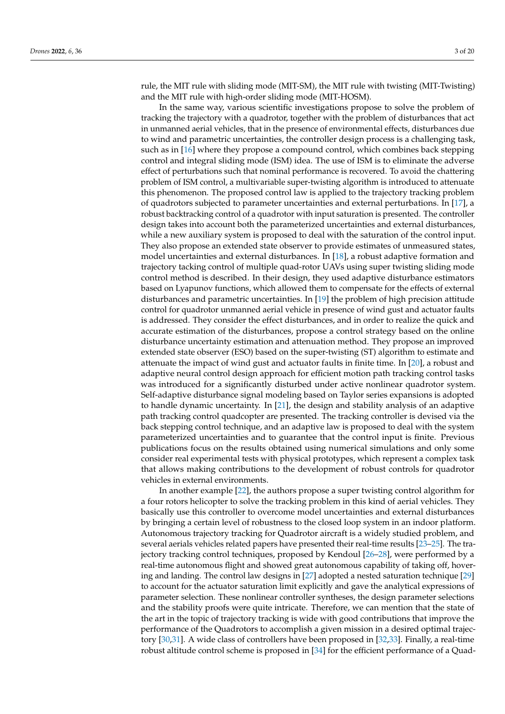rule, the MIT rule with sliding mode (MIT-SM), the MIT rule with twisting (MIT-Twisting) and the MIT rule with high-order sliding mode (MIT-HOSM).

In the same way, various scientific investigations propose to solve the problem of tracking the trajectory with a quadrotor, together with the problem of disturbances that act in unmanned aerial vehicles, that in the presence of environmental effects, disturbances due to wind and parametric uncertainties, the controller design process is a challenging task, such as in [\[16\]](#page-18-12) where they propose a compound control, which combines back stepping control and integral sliding mode (ISM) idea. The use of ISM is to eliminate the adverse effect of perturbations such that nominal performance is recovered. To avoid the chattering problem of ISM control, a multivariable super-twisting algorithm is introduced to attenuate this phenomenon. The proposed control law is applied to the trajectory tracking problem of quadrotors subjected to parameter uncertainties and external perturbations. In [\[17\]](#page-19-0), a robust backtracking control of a quadrotor with input saturation is presented. The controller design takes into account both the parameterized uncertainties and external disturbances, while a new auxiliary system is proposed to deal with the saturation of the control input. They also propose an extended state observer to provide estimates of unmeasured states, model uncertainties and external disturbances. In [\[18\]](#page-19-1), a robust adaptive formation and trajectory tacking control of multiple quad-rotor UAVs using super twisting sliding mode control method is described. In their design, they used adaptive disturbance estimators based on Lyapunov functions, which allowed them to compensate for the effects of external disturbances and parametric uncertainties. In [\[19\]](#page-19-2) the problem of high precision attitude control for quadrotor unmanned aerial vehicle in presence of wind gust and actuator faults is addressed. They consider the effect disturbances, and in order to realize the quick and accurate estimation of the disturbances, propose a control strategy based on the online disturbance uncertainty estimation and attenuation method. They propose an improved extended state observer (ESO) based on the super-twisting (ST) algorithm to estimate and attenuate the impact of wind gust and actuator faults in finite time. In [\[20\]](#page-19-3), a robust and adaptive neural control design approach for efficient motion path tracking control tasks was introduced for a significantly disturbed under active nonlinear quadrotor system. Self-adaptive disturbance signal modeling based on Taylor series expansions is adopted to handle dynamic uncertainty. In [\[21\]](#page-19-4), the design and stability analysis of an adaptive path tracking control quadcopter are presented. The tracking controller is devised via the back stepping control technique, and an adaptive law is proposed to deal with the system parameterized uncertainties and to guarantee that the control input is finite. Previous publications focus on the results obtained using numerical simulations and only some consider real experimental tests with physical prototypes, which represent a complex task that allows making contributions to the development of robust controls for quadrotor vehicles in external environments.

In another example [\[22\]](#page-19-5), the authors propose a super twisting control algorithm for a four rotors helicopter to solve the tracking problem in this kind of aerial vehicles. They basically use this controller to overcome model uncertainties and external disturbances by bringing a certain level of robustness to the closed loop system in an indoor platform. Autonomous trajectory tracking for Quadrotor aircraft is a widely studied problem, and several aerials vehicles related papers have presented their real-time results [\[23–](#page-19-6)[25\]](#page-19-7). The trajectory tracking control techniques, proposed by Kendoul [\[26](#page-19-8)[–28\]](#page-19-9), were performed by a real-time autonomous flight and showed great autonomous capability of taking off, hovering and landing. The control law designs in [\[27\]](#page-19-10) adopted a nested saturation technique [\[29\]](#page-19-11) to account for the actuator saturation limit explicitly and gave the analytical expressions of parameter selection. These nonlinear controller syntheses, the design parameter selections and the stability proofs were quite intricate. Therefore, we can mention that the state of the art in the topic of trajectory tracking is wide with good contributions that improve the performance of the Quadrotors to accomplish a given mission in a desired optimal trajectory [\[30](#page-19-12)[,31\]](#page-19-13). A wide class of controllers have been proposed in [\[32](#page-19-14)[,33\]](#page-19-15). Finally, a real-time robust altitude control scheme is proposed in [\[34\]](#page-19-16) for the efficient performance of a Quad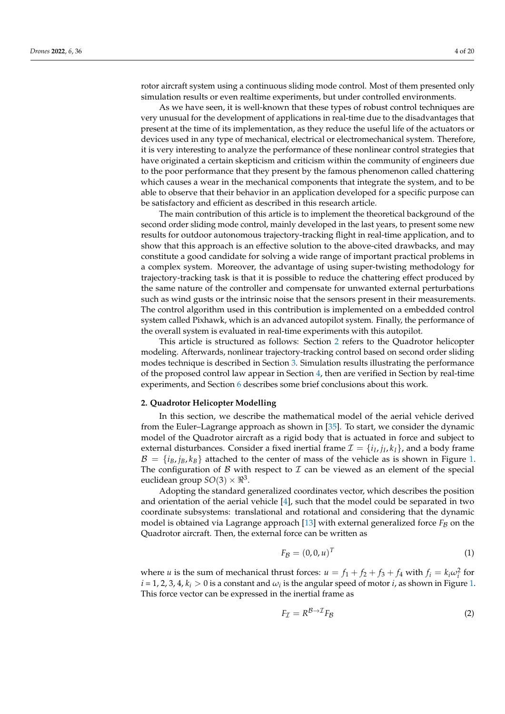rotor aircraft system using a continuous sliding mode control. Most of them presented only simulation results or even realtime experiments, but under controlled environments.

As we have seen, it is well-known that these types of robust control techniques are very unusual for the development of applications in real-time due to the disadvantages that present at the time of its implementation, as they reduce the useful life of the actuators or devices used in any type of mechanical, electrical or electromechanical system. Therefore, it is very interesting to analyze the performance of these nonlinear control strategies that have originated a certain skepticism and criticism within the community of engineers due to the poor performance that they present by the famous phenomenon called chattering which causes a wear in the mechanical components that integrate the system, and to be able to observe that their behavior in an application developed for a specific purpose can be satisfactory and efficient as described in this research article.

The main contribution of this article is to implement the theoretical background of the second order sliding mode control, mainly developed in the last years, to present some new results for outdoor autonomous trajectory-tracking flight in real-time application, and to show that this approach is an effective solution to the above-cited drawbacks, and may constitute a good candidate for solving a wide range of important practical problems in a complex system. Moreover, the advantage of using super-twisting methodology for trajectory-tracking task is that it is possible to reduce the chattering effect produced by the same nature of the controller and compensate for unwanted external perturbations such as wind gusts or the intrinsic noise that the sensors present in their measurements. The control algorithm used in this contribution is implemented on a embedded control system called Pixhawk, which is an advanced autopilot system. Finally, the performance of the overall system is evaluated in real-time experiments with this autopilot.

This article is structured as follows: Section [2](#page-3-0) refers to the Quadrotor helicopter modeling. Afterwards, nonlinear trajectory-tracking control based on second order sliding modes technique is described in Section [3.](#page-5-0) Simulation results illustrating the performance of the proposed control law appear in Section [4,](#page-10-0) then are verified in Section by real-time experiments, and Section [6](#page-17-0) describes some brief conclusions about this work.

#### <span id="page-3-0"></span>**2. Quadrotor Helicopter Modelling**

In this section, we describe the mathematical model of the aerial vehicle derived from the Euler–Lagrange approach as shown in [\[35\]](#page-19-17). To start, we consider the dynamic model of the Quadrotor aircraft as a rigid body that is actuated in force and subject to external disturbances. Consider a fixed inertial frame  $\mathcal{I} = \{i_I, j_I, k_I\}$ , and a body frame  $\mathcal{B} = \{i_B, j_B, k_B\}$  attached to the center of mass of the vehicle as is shown in Figure [1.](#page-4-0) The configuration of B with respect to  $\mathcal I$  can be viewed as an element of the special euclidean group  $SO(3)\times\real^3.$ 

Adopting the standard generalized coordinates vector, which describes the position and orientation of the aerial vehicle [\[4\]](#page-18-1), such that the model could be separated in two coordinate subsystems: translational and rotational and considering that the dynamic model is obtained via Lagrange approach  $[13]$  with external generalized force  $F_B$  on the Quadrotor aircraft. Then, the external force can be written as

$$
F_{\mathcal{B}} = (0,0,u)^T \tag{1}
$$

where *u* is the sum of mechanical thrust forces:  $u = f_1 + f_2 + f_3 + f_4$  with  $f_i = k_i \omega_i^2$  for  $i = 1, 2, 3, 4, k_i > 0$  is a constant and  $\omega_i$  is the angular speed of motor  $i$ , as shown in Figure [1.](#page-4-0) This force vector can be expressed in the inertial frame as

$$
F_{\mathcal{I}} = R^{\mathcal{B} \to \mathcal{I}} F_{\mathcal{B}} \tag{2}
$$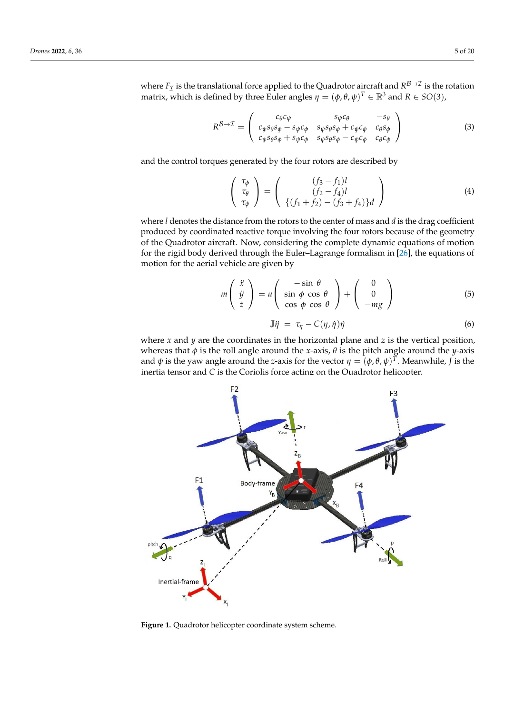where  $F_{\mathcal{I}}$  is the translational force applied to the Quadrotor aircraft and  $R^{\mathcal{B} \to \mathcal{I}}$  is the rotation matrix, which is defined by three Euler angles  $\eta = (\phi, \theta, \psi)^T \in \mathbb{R}^3$  and  $R \in SO(3)$ ,

$$
R^{\mathcal{B}\to\mathcal{I}} = \begin{pmatrix} c_{\theta}c_{\psi} & s_{\psi}c_{\theta} & -s_{\theta} \\ c_{\psi}s_{\theta}s_{\phi} - s_{\psi}c_{\phi} & s_{\psi}s_{\theta}s_{\phi} + c_{\psi}c_{\phi} & c_{\theta}s_{\phi} \\ c_{\psi}s_{\theta}s_{\phi} + s_{\psi}c_{\phi} & s_{\psi}s_{\theta}s_{\phi} - c_{\psi}c_{\phi} & c_{\theta}c_{\phi} \end{pmatrix}
$$
(3)

and the control torques generated by the four rotors are described by

$$
\begin{pmatrix}\n\tau_{\phi} \\
\tau_{\theta} \\
\tau_{\psi}\n\end{pmatrix} = \begin{pmatrix}\n(f_3 - f_1)l \\
(f_2 - f_4)l \\
\{(f_1 + f_2) - (f_3 + f_4)\}d\n\end{pmatrix}
$$
\n(4)

where *l* denotes the distance from the rotors to the center of mass and *d* is the drag coefficient produced by coordinated reactive torque involving the four rotors because of the geometry of the Quadrotor aircraft. Now, considering the complete dynamic equations of motion for the rigid body derived through the Euler–Lagrange formalism in [\[26\]](#page-19-8), the equations of motion for the aerial vehicle are given by

<span id="page-4-1"></span>
$$
m\left(\begin{array}{c}\n\ddot{x} \\
\ddot{y} \\
\ddot{z}\n\end{array}\right) = u\left(\begin{array}{ccc}\n-\sin\theta \\
\sin\phi\cos\theta \\
\cos\phi\cos\theta\n\end{array}\right) + \left(\begin{array}{c}\n0 \\
0 \\
-mg\n\end{array}\right) \tag{5}
$$

<span id="page-4-2"></span>
$$
\mathbb{J}\dot{\eta} = \tau_{\eta} - C(\eta, \dot{\eta})\dot{\eta}
$$
\n(6)

where  $x$  and  $y$  are the coordinates in the horizontal plane and  $z$  is the vertical position, whereas that  $\phi$  is the roll angle around the *x*-axis,  $\theta$  is the pitch angle around the *y*-axis and  $\psi$  is the yaw angle around the *z*-axis for the vector  $\eta = (\phi, \theta, \psi)^T$ . Meanwhile, *J* is the inertia tensor and *C* is the Coriolis force acting on the Quadrotor helicopter.

<span id="page-4-0"></span>

**Figure 1.** Quadrotor helicopter coordinate system scheme.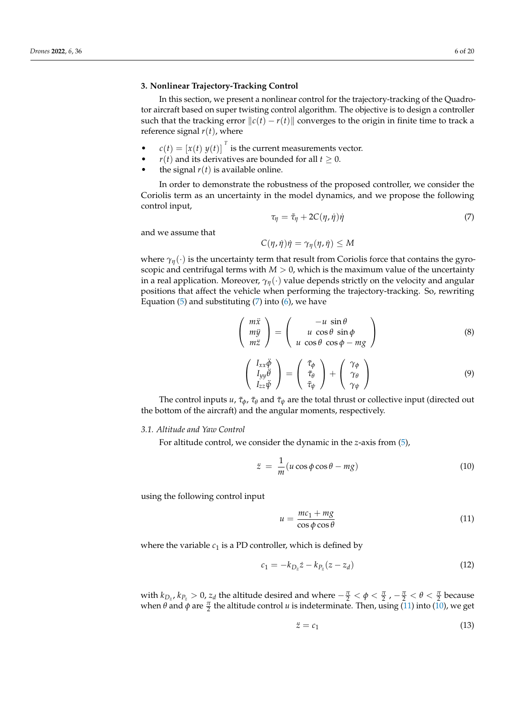### <span id="page-5-0"></span>**3. Nonlinear Trajectory-Tracking Control**

In this section, we present a nonlinear control for the trajectory-tracking of the Quadrotor aircraft based on super twisting control algorithm. The objective is to design a controller such that the tracking error  $\Vert c(t) - r(t) \Vert$  converges to the origin in finite time to track a reference signal  $r(t)$ , where

- $c(t) = [x(t) y(t)]$ <sup>*T*</sup> is the current measurements vector.
- *r*(*t*) and its derivatives are bounded for all *t*  $\geq$  0.
	- the signal  $r(t)$  is available online.

In order to demonstrate the robustness of the proposed controller, we consider the Coriolis term as an uncertainty in the model dynamics, and we propose the following control input,

<span id="page-5-1"></span>
$$
\tau_{\eta} = \tilde{\tau}_{\eta} + 2C(\eta, \dot{\eta})\dot{\eta}
$$
\n<sup>(7)</sup>

and we assume that

$$
C(\eta, \dot{\eta})\dot{\eta} = \gamma_{\eta}(\eta, \dot{\eta}) \leq M
$$

where  $\gamma_{\eta}(\cdot)$  is the uncertainty term that result from Coriolis force that contains the gyroscopic and centrifugal terms with  $M > 0$ , which is the maximum value of the uncertainty in a real application. Moreover, *γη*(·) value depends strictly on the velocity and angular positions that affect the vehicle when performing the trajectory-tracking. So, rewriting Equation  $(5)$  and substituting  $(7)$  into  $(6)$ , we have

<span id="page-5-4"></span>
$$
\begin{pmatrix} m\ddot{x} \\ m\ddot{y} \\ m\ddot{z} \end{pmatrix} = \begin{pmatrix} -u\,\sin\theta \\ u\,\cos\theta\,\sin\phi \\ u\,\cos\theta\,\cos\phi - mg \end{pmatrix} \tag{8}
$$

<span id="page-5-5"></span>
$$
\begin{pmatrix}\nI_{xx}\ddot{\phi} \\
I_{yy}\ddot{\theta} \\
I_{zz}\ddot{\psi}\n\end{pmatrix} = \begin{pmatrix}\n\tilde{\tau}_{\phi} \\
\tilde{\tau}_{\theta} \\
\tilde{\tau}_{\psi}\n\end{pmatrix} + \begin{pmatrix}\n\gamma_{\phi} \\
\gamma_{\theta} \\
\gamma_{\psi}\n\end{pmatrix}
$$
\n(9)

The control inputs *u*,  $\tilde{\tau}_{\phi}$ ,  $\tilde{\tau}_{\theta}$  and  $\tilde{\tau}_{\psi}$  are the total thrust or collective input (directed out the bottom of the aircraft) and the angular moments, respectively.

#### *3.1. Altitude and Yaw Control*

For altitude control, we consider the dynamic in the *z*-axis from [\(5\)](#page-4-1),

<span id="page-5-3"></span>
$$
\ddot{z} = \frac{1}{m}(u\cos\phi\cos\theta - mg) \tag{10}
$$

using the following control input

<span id="page-5-2"></span>
$$
u = \frac{mc_1 + mg}{\cos \phi \cos \theta} \tag{11}
$$

where the variable  $c_1$  is a PD controller, which is defined by

$$
c_1 = -k_{D_z}\dot{z} - k_{P_z}(z - z_d) \tag{12}
$$

with  $k_{D_z}$ ,  $k_{P_z} > 0$ ,  $z_d$  the altitude desired and where  $-\frac{\pi}{2} < \phi < \frac{\pi}{2}$ ,  $-\frac{\pi}{2} < \theta < \frac{\pi}{2}$  because when  $\theta$  and  $\phi$  are  $\frac{\pi}{2}$  the altitude control *u* is indeterminate. Then, using [\(11\)](#page-5-2) into [\(10\)](#page-5-3), we get

$$
\ddot{z} = c_1 \tag{13}
$$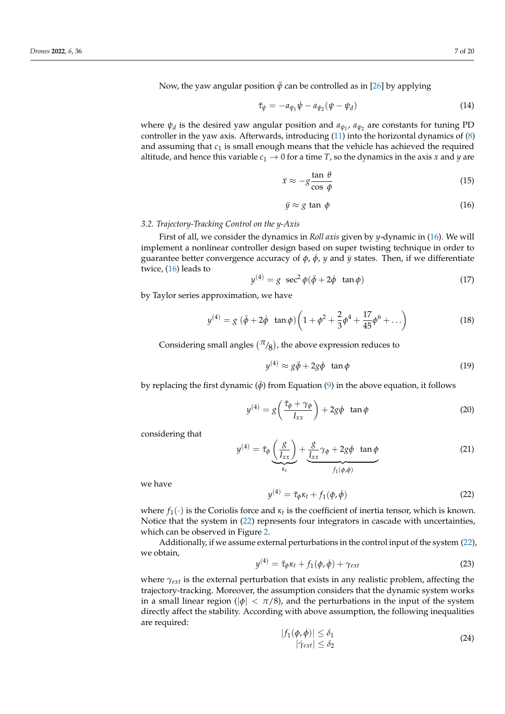Now, the yaw angular position  $\ddot{\psi}$  can be controlled as in [\[26\]](#page-19-8) by applying

$$
\tilde{\tau}_{\psi} = -a_{\psi_1} \dot{\psi} - a_{\psi_2} (\psi - \psi_d) \tag{14}
$$

where  $\psi_d$  is the desired yaw angular position and  $a_{\psi_1}$ ,  $a_{\psi_2}$  are constants for tuning PD controller in the yaw axis. Afterwards, introducing [\(11\)](#page-5-2) into the horizontal dynamics of [\(8\)](#page-5-4) and assuming that  $c_1$  is small enough means that the vehicle has achieved the required altitude, and hence this variable  $c_1 \rightarrow 0$  for a time *T*, so the dynamics in the axis *x* and *y* are

<span id="page-6-3"></span>
$$
\ddot{x} \approx -g \frac{\tan \theta}{\cos \phi} \tag{15}
$$

<span id="page-6-0"></span>
$$
\ddot{y} \approx g \tan \phi \tag{16}
$$

### *3.2. Trajectory-Tracking Control on the y-Axis*

First of all, we consider the dynamics in *Roll axis* given by *y*-dynamic in [\(16\)](#page-6-0). We will implement a nonlinear controller design based on super twisting technique in order to guarantee better convergence accuracy of  $\phi$ ,  $\dot{\phi}$ , *y* and *y* states. Then, if we differentiate twice, [\(16\)](#page-6-0) leads to

$$
y^{(4)} = g \ \sec^2 \phi (\ddot{\phi} + 2\dot{\phi} \ \tan \phi) \tag{17}
$$

by Taylor series approximation, we have

$$
y^{(4)} = g \left(\ddot{\phi} + 2\dot{\phi} \tan \phi\right) \left(1 + \phi^2 + \frac{2}{3}\phi^4 + \frac{17}{45}\phi^6 + \ldots\right)
$$
 (18)

Considering small angles  $(\pi_{\mathcal{B}})$ , the above expression reduces to

$$
y^{(4)} \approx g\ddot{\phi} + 2g\dot{\phi} \quad \tan\phi \tag{19}
$$

by replacing the first dynamic ( $\ddot{\phi}$ ) from Equation [\(9\)](#page-5-5) in the above equation, it follows

$$
y^{(4)} = g\left(\frac{\tilde{\tau}_{\phi} + \gamma_{\phi}}{I_{xx}}\right) + 2g\dot{\phi} \quad \tan\phi \tag{20}
$$

considering that

$$
y^{(4)} = \tilde{\tau}_{\phi} \underbrace{\left(\frac{g}{I_{xx}}\right)}_{\kappa_t} + \underbrace{\frac{g}{I_{xx}} \gamma_{\phi} + 2g\dot{\phi} \tan{\phi}}_{f_1(\phi,\dot{\phi})}
$$
(21)

we have

<span id="page-6-1"></span>
$$
y^{(4)} = \tilde{\tau}_{\phi} \kappa_t + f_1(\phi, \dot{\phi}) \tag{22}
$$

where  $f_1(\cdot)$  is the Coriolis force and  $\kappa_t$  is the coefficient of inertia tensor, which is known. Notice that the system in [\(22\)](#page-6-1) represents four integrators in cascade with uncertainties, which can be observed in Figure [2.](#page-7-0)

Additionally, if we assume external perturbations in the control input of the system [\(22\)](#page-6-1), we obtain,

$$
y^{(4)} = \tilde{\tau}_{\phi} \kappa_t + f_1(\phi, \dot{\phi}) + \gamma_{ext}
$$
 (23)

where  $\gamma_{ext}$  is the external perturbation that exists in any realistic problem, affecting the trajectory-tracking. Moreover, the assumption considers that the dynamic system works in a small linear region ( $|\phi| < \pi/8$ ), and the perturbations in the input of the system directly affect the stability. According with above assumption, the following inequalities are required:

<span id="page-6-2"></span>
$$
|f_1(\phi, \dot{\phi})| \le \delta_1
$$
  
 
$$
|\dot{\gamma}_{ext}| \le \delta_2
$$
 (24)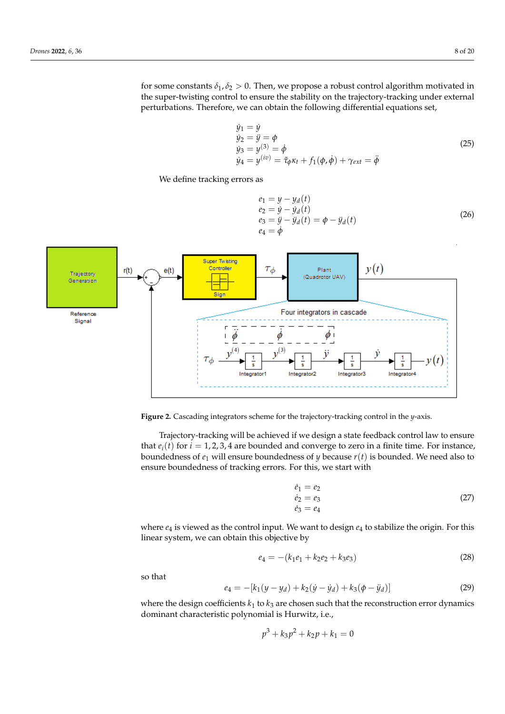for some constants  $\delta_1$ ,  $\delta_2 > 0$ . Then, we propose a robust control algorithm motivated in the super-twisting control to ensure the stability on the trajectory-tracking under external perturbations. Therefore, we can obtain the following differential equations set,

$$
\dot{y}_1 = \dot{y} \n\dot{y}_2 = \ddot{y} = \phi \n\dot{y}_3 = y^{(3)} = \dot{\phi} \n\dot{y}_4 = y^{(iv)} = \tilde{\tau}_{\phi} \kappa_t + f_1(\phi, \dot{\phi}) + \gamma_{ext} = \ddot{\phi}
$$
\n(25)

<span id="page-7-0"></span>We define tracking errors as

$$
e_1 = y - y_d(t) \n e_2 = \dot{y} - \dot{y}_d(t) \n e_3 = \ddot{y} - \ddot{y}_d(t) = \phi - \ddot{y}_d(t) \n e_4 = \dot{\phi}
$$
\n(26)



**Figure 2.** Cascading integrators scheme for the trajectory-tracking control in the *y*-axis.

Trajectory-tracking will be achieved if we design a state feedback control law to ensure that  $e_i(t)$  for  $i = 1, 2, 3, 4$  are bounded and converge to zero in a finite time. For instance, boundedness of *e*<sup>1</sup> will ensure boundedness of *y* because *r*(*t*) is bounded. We need also to ensure boundedness of tracking errors. For this, we start with

$$
\begin{aligned}\n\dot{e}_1 &= e_2\\ \n\dot{e}_2 &= e_3\\ \n\dot{e}_3 &= e_4\n\end{aligned} \tag{27}
$$

where  $e_4$  is viewed as the control input. We want to design  $e_4$  to stabilize the origin. For this linear system, we can obtain this objective by

$$
e_4 = -(k_1e_1 + k_2e_2 + k_3e_3) \tag{28}
$$

so that

$$
e_4 = -[k_1(y - y_d) + k_2(\dot{y} - \dot{y}_d) + k_3(\phi - \ddot{y}_d)]
$$
\n(29)

where the design coefficients  $k_1$  to  $k_3$  are chosen such that the reconstruction error dynamics dominant characteristic polynomial is Hurwitz, i.e.,

$$
p^3 + k_3 p^2 + k_2 p + k_1 = 0
$$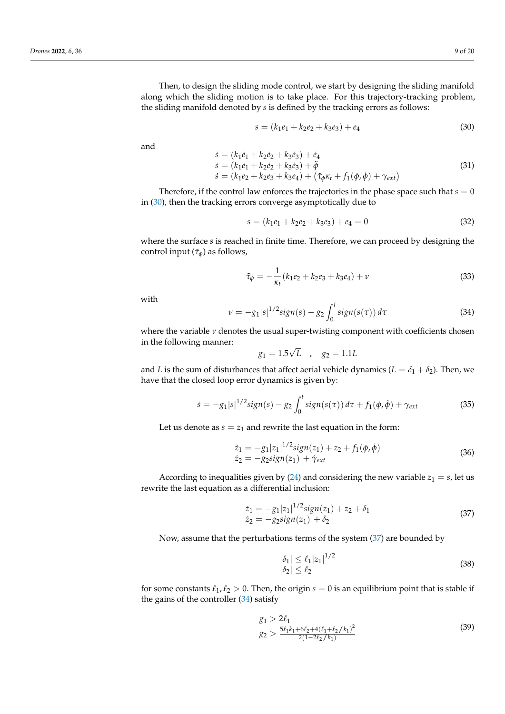Then, to design the sliding mode control, we start by designing the sliding manifold along which the sliding motion is to take place. For this trajectory-tracking problem, the sliding manifold denoted by *s* is defined by the tracking errors as follows:

<span id="page-8-0"></span>
$$
s = (k_1e_1 + k_2e_2 + k_3e_3) + e_4 \tag{30}
$$

and

$$
\begin{aligned}\n\dot{s} &= (k_1 \dot{e}_1 + k_2 \dot{e}_2 + k_3 \dot{e}_3) + \dot{e}_4 \\
\dot{s} &= (k_1 \dot{e}_1 + k_2 \dot{e}_2 + k_3 \dot{e}_3) + \ddot{\phi} \\
\dot{s} &= (k_1 e_2 + k_2 e_3 + k_3 e_4) + (\tilde{\tau}_{\phi} \kappa_t + f_1(\phi, \dot{\phi}) + \gamma_{ext})\n\end{aligned} \tag{31}
$$

Therefore, if the control law enforces the trajectories in the phase space such that  $s = 0$ in [\(30\)](#page-8-0), then the tracking errors converge asymptotically due to

$$
s = (k_1e_1 + k_2e_2 + k_3e_3) + e_4 = 0 \tag{32}
$$

where the surface *s* is reached in finite time. Therefore, we can proceed by designing the control input ( $\tilde{\tau}_{\phi}$ ) as follows,

<span id="page-8-5"></span>
$$
\tilde{\tau}_{\phi} = -\frac{1}{\kappa_t} (k_1 e_2 + k_2 e_3 + k_3 e_4) + \nu \tag{33}
$$

with

<span id="page-8-2"></span>
$$
\nu = -g_1|s|^{1/2}sign(s) - g_2 \int_0^t sign(s(\tau)) d\tau \tag{34}
$$

where the variable *ν* denotes the usual super-twisting component with coefficients chosen in the following manner:

$$
g_1 = 1.5\sqrt{L}
$$
,  $g_2 = 1.1L$ 

and *L* is the sum of disturbances that affect aerial vehicle dynamics ( $L = \delta_1 + \delta_2$ ). Then, we have that the closed loop error dynamics is given by:

$$
\dot{s} = -g_1|s|^{1/2}sign(s) - g_2 \int_0^t sign(s(\tau)) d\tau + f_1(\phi, \dot{\phi}) + \gamma_{ext}
$$
 (35)

Let us denote as  $s = z<sub>1</sub>$  and rewrite the last equation in the form:

$$
\begin{aligned} \dot{z}_1 &= -g_1 |z_1|^{1/2} \dot{s} i g n(z_1) + z_2 + f_1(\phi, \dot{\phi}) \\ \dot{z}_2 &= -g_2 \dot{s} i g n(z_1) + \dot{\gamma}_{ext} \end{aligned} \tag{36}
$$

According to inequalities given by [\(24\)](#page-6-2) and considering the new variable  $z_1 = s$ , let us rewrite the last equation as a differential inclusion:

<span id="page-8-1"></span>
$$
\begin{aligned} \dot{z}_1 &= -g_1 |z_1|^{1/2} \text{sign}(z_1) + z_2 + \delta_1 \\ \dot{z}_2 &= -g_2 \text{sign}(z_1) + \delta_2 \end{aligned} \tag{37}
$$

Now, assume that the perturbations terms of the system [\(37\)](#page-8-1) are bounded by

<span id="page-8-3"></span>
$$
\begin{aligned} |\delta_1| &\le \ell_1 |z_1|^{1/2} \\ |\delta_2| &\le \ell_2 \end{aligned} \tag{38}
$$

for some constants  $\ell_1, \ell_2 > 0$ . Then, the origin  $s = 0$  is an equilibrium point that is stable if the gains of the controller [\(34\)](#page-8-2) satisfy

<span id="page-8-4"></span>
$$
g_1 > 2\ell_1
$$
  
\n
$$
g_2 > \frac{5\ell_1 k_1 + 6\ell_2 + 4(\ell_1 + \ell_2 / k_1)^2}{2(1 - 2\ell_2 / k_1)}
$$
\n(39)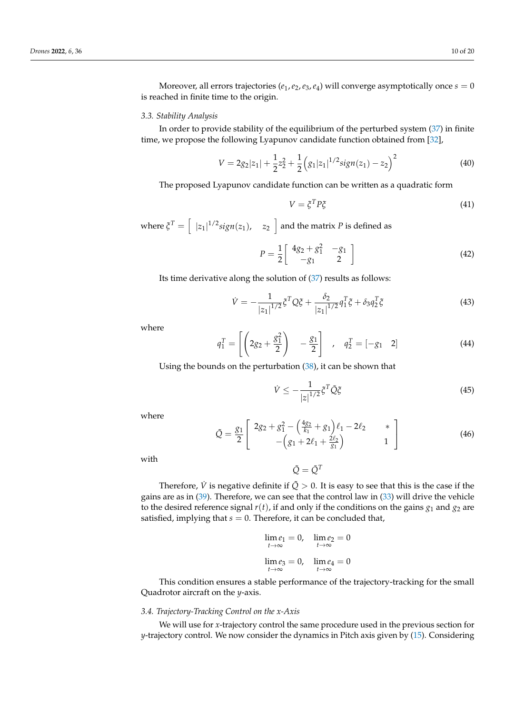Moreover, all errors trajectories ( $e_1$ ,  $e_2$ ,  $e_3$ ,  $e_4$ ) will converge asymptotically once  $s = 0$ is reached in finite time to the origin.

## *3.3. Stability Analysis*

In order to provide stability of the equilibrium of the perturbed system [\(37\)](#page-8-1) in finite time, we propose the following Lyapunov candidate function obtained from [\[32\]](#page-19-14),

$$
V = 2g_2|z_1| + \frac{1}{2}z_2^2 + \frac{1}{2}\left(g_1|z_1|^{1/2}sign(z_1) - z_2\right)^2 \tag{40}
$$

The proposed Lyapunov candidate function can be written as a quadratic form

$$
V = \xi^T P \xi \tag{41}
$$

where  $\zeta^T = \left[ \begin{array}{cc} |z_1|^{1/2} sign(z_1), & z_2 \end{array} \right]$  and the matrix  $P$  is defined as

$$
P = \frac{1}{2} \begin{bmatrix} 4g_2 + g_1^2 & -g_1 \\ -g_1 & 2 \end{bmatrix}
$$
 (42)

Its time derivative along the solution of [\(37\)](#page-8-1) results as follows:

$$
\dot{V} = -\frac{1}{|z_1|^{1/2}} \xi^T Q \xi + \frac{\delta_2}{|z_1|^{1/2}} q_1^T \xi + \delta_3 q_2^T \xi \tag{43}
$$

where

$$
q_1^T = \left[ \left( 2g_2 + \frac{g_1^2}{2} \right) - \frac{g_1}{2} \right], \quad q_2^T = \left[ -g_1 \quad 2 \right]
$$
 (44)

Using the bounds on the perturbation [\(38\)](#page-8-3), it can be shown that

$$
\dot{V} \le -\frac{1}{|z|^{1/2}} \xi^T \tilde{Q} \xi \tag{45}
$$

where

$$
\tilde{Q} = \frac{g_1}{2} \begin{bmatrix} 2g_2 + g_1^2 - \left(\frac{4g_2}{k_1} + g_1\right)\ell_1 - 2\ell_2 & * \\ -\left(g_1 + 2\ell_1 + \frac{2\ell_2}{g_1}\right) & 1 \end{bmatrix}
$$
(46)

with

$$
\tilde{Q} = \tilde{Q}^T
$$

Therefore,  $\dot{V}$  is negative definite if  $\tilde{Q} > 0$ . It is easy to see that this is the case if the gains are as in [\(39\)](#page-8-4). Therefore, we can see that the control law in [\(33\)](#page-8-5) will drive the vehicle to the desired reference signal  $r(t)$ , if and only if the conditions on the gains  $g_1$  and  $g_2$  are satisfied, implying that  $s = 0$ . Therefore, it can be concluded that,

$$
\lim_{t \to \infty} e_1 = 0, \quad \lim_{t \to \infty} e_2 = 0
$$
  

$$
\lim_{t \to \infty} e_3 = 0, \quad \lim_{t \to \infty} e_4 = 0
$$

This condition ensures a stable performance of the trajectory-tracking for the small Quadrotor aircraft on the *y*-axis.

## *3.4. Trajectory-Tracking Control on the x-Axis*

We will use for *x*-trajectory control the same procedure used in the previous section for *y*-trajectory control. We now consider the dynamics in Pitch axis given by [\(15\)](#page-6-3). Considering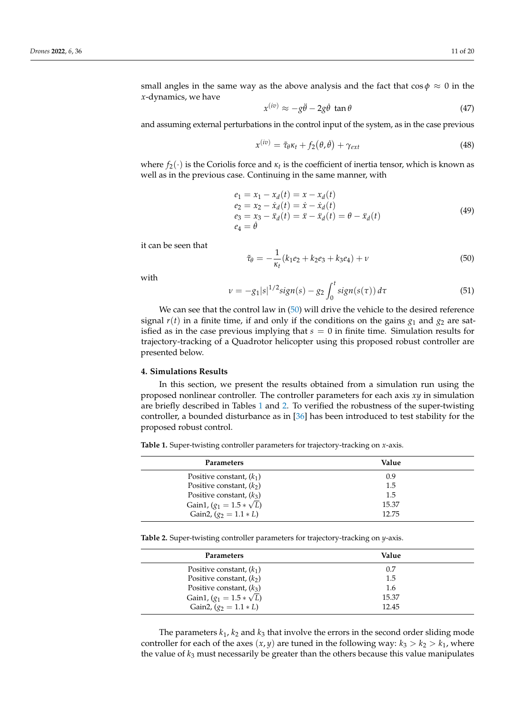small angles in the same way as the above analysis and the fact that  $\cos \phi \approx 0$  in the *x*-dynamics, we have

$$
x^{(iv)} \approx -g\ddot{\theta} - 2g\dot{\theta} \tan \theta \tag{47}
$$

and assuming external perturbations in the control input of the system, as in the case previous

$$
x^{(iv)} = \tilde{\tau}_{\theta} \kappa_t + f_2(\theta, \dot{\theta}) + \gamma_{ext}
$$
\n(48)

where  $f_2(\cdot)$  is the Coriolis force and  $\kappa_t$  is the coefficient of inertia tensor, which is known as well as in the previous case. Continuing in the same manner, with

$$
e_1 = x_1 - x_d(t) = x - x_d(t) \n e_2 = x_2 - \dot{x}_d(t) = \dot{x} - \dot{x}_d(t) \n e_3 = x_3 - \ddot{x}_d(t) = \ddot{x} - \ddot{x}_d(t) = \theta - \ddot{x}_d(t) \n e_4 = \dot{\theta}
$$
\n(49)

it can be seen that

<span id="page-10-1"></span>
$$
\tilde{\tau}_{\theta} = -\frac{1}{\kappa_t} (k_1 e_2 + k_2 e_3 + k_3 e_4) + \nu \tag{50}
$$

with

$$
\nu = -g_1|s|^{1/2}sign(s) - g_2 \int_0^t sign(s(\tau)) d\tau
$$
\n(51)

We can see that the control law in [\(50\)](#page-10-1) will drive the vehicle to the desired reference signal  $r(t)$  in a finite time, if and only if the conditions on the gains  $g_1$  and  $g_2$  are satisfied as in the case previous implying that  $s = 0$  in finite time. Simulation results for trajectory-tracking of a Quadrotor helicopter using this proposed robust controller are presented below.

#### <span id="page-10-0"></span>**4. Simulations Results**

In this section, we present the results obtained from a simulation run using the proposed nonlinear controller. The controller parameters for each axis *xy* in simulation are briefly described in Tables [1](#page-10-2) and [2.](#page-10-3) To verified the robustness of the super-twisting controller, a bounded disturbance as in [\[36\]](#page-19-18) has been introduced to test stability for the proposed robust control.

<span id="page-10-2"></span>**Table 1.** Super-twisting controller parameters for trajectory-tracking on *x*-axis.

| <b>Parameters</b>               | Value |  |
|---------------------------------|-------|--|
| Positive constant, $(k_1)$      | 0.9   |  |
| Positive constant, $(k2)$       | 1.5   |  |
| Positive constant, $(k_3)$      | 1.5   |  |
| Gain1, $(g_1 = 1.5 * \sqrt{L})$ | 15.37 |  |
| Gain2, $(g_2 = 1.1 * L)$        | 12.75 |  |

<span id="page-10-3"></span>**Table 2.** Super-twisting controller parameters for trajectory-tracking on *y*-axis.

| Parameters                      | Value |
|---------------------------------|-------|
| Positive constant, $(k_1)$      | 0.7   |
| Positive constant, $(k2)$       | 1.5   |
| Positive constant, $(k_3)$      | 1.6   |
| Gain1, $(g_1 = 1.5 * \sqrt{L})$ | 15.37 |
| Gain2, $(g_2 = 1.1 * L)$        | 12.45 |

The parameters  $k_1$ ,  $k_2$  and  $k_3$  that involve the errors in the second order sliding mode controller for each of the axes  $(x, y)$  are tuned in the following way:  $k_3 > k_2 > k_1$ , where the value of *k*<sup>3</sup> must necessarily be greater than the others because this value manipulates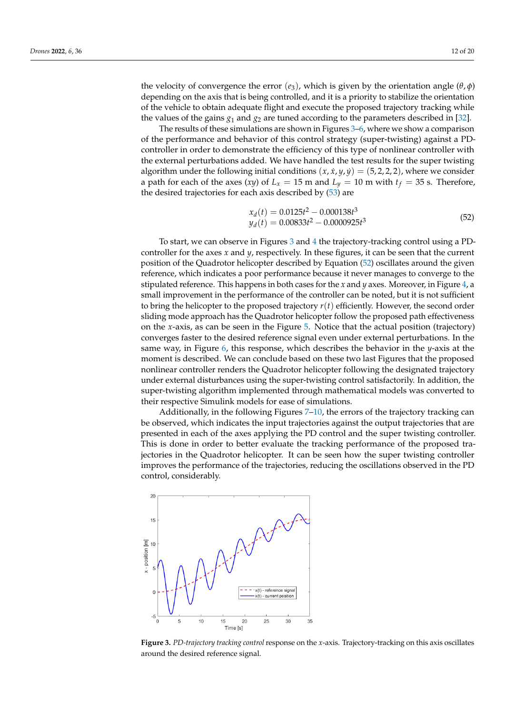the velocity of convergence the error  $(e_3)$ , which is given by the orientation angle  $(θ, φ)$ depending on the axis that is being controlled, and it is a priority to stabilize the orientation of the vehicle to obtain adequate flight and execute the proposed trajectory tracking while the values of the gains  $g_1$  and  $g_2$  are tuned according to the parameters described in [\[32\]](#page-19-14).

The results of these simulations are shown in Figures [3–](#page-11-0)[6,](#page-12-0) where we show a comparison of the performance and behavior of this control strategy (super-twisting) against a PDcontroller in order to demonstrate the efficiency of this type of nonlinear controller with the external perturbations added. We have handled the test results for the super twisting algorithm under the following initial conditions  $(x, \dot{x}, y, \dot{y}) = (5, 2, 2, 2)$ , where we consider a path for each of the axes (*xy*) of  $L_x = 15$  m and  $L_y = 10$  m with  $t_f = 35$  s. Therefore, the desired trajectories for each axis described by [\(53\)](#page-14-0) are

<span id="page-11-1"></span>
$$
x_d(t) = 0.0125t^2 - 0.000138t^3
$$
  
\n
$$
y_d(t) = 0.00833t^2 - 0.0000925t^3
$$
\n(52)

To start, we can observe in Figures [3](#page-11-0) and [4](#page-12-1) the trajectory-tracking control using a PDcontroller for the axes *x* and *y*, respectively. In these figures, it can be seen that the current position of the Quadrotor helicopter described by Equation [\(52\)](#page-11-1) oscillates around the given reference, which indicates a poor performance because it never manages to converge to the stipulated reference. This happens in both cases for the *x* and *y* axes. Moreover, in Figure [4,](#page-12-1) a small improvement in the performance of the controller can be noted, but it is not sufficient to bring the helicopter to the proposed trajectory *r*(*t*) efficiently. However, the second order sliding mode approach has the Quadrotor helicopter follow the proposed path effectiveness on the *x*-axis, as can be seen in the Figure [5.](#page-12-2) Notice that the actual position (trajectory) converges faster to the desired reference signal even under external perturbations. In the same way, in Figure [6,](#page-12-0) this response, which describes the behavior in the *y*-axis at the moment is described. We can conclude based on these two last Figures that the proposed nonlinear controller renders the Quadrotor helicopter following the designated trajectory under external disturbances using the super-twisting control satisfactorily. In addition, the super-twisting algorithm implemented through mathematical models was converted to their respective Simulink models for ease of simulations.

Additionally, in the following Figures [7](#page-13-0)-10, the errors of the trajectory tracking can be observed, which indicates the input trajectories against the output trajectories that are presented in each of the axes applying the PD control and the super twisting controller. This is done in order to better evaluate the tracking performance of the proposed trajectories in the Quadrotor helicopter. It can be seen how the super twisting controller improves the performance of the trajectories, reducing the oscillations observed in the PD control, considerably.

<span id="page-11-0"></span>

**Figure 3.** *PD-trajectory tracking control* response on the *x*-axis. Trajectory-tracking on this axis oscillates around the desired reference signal.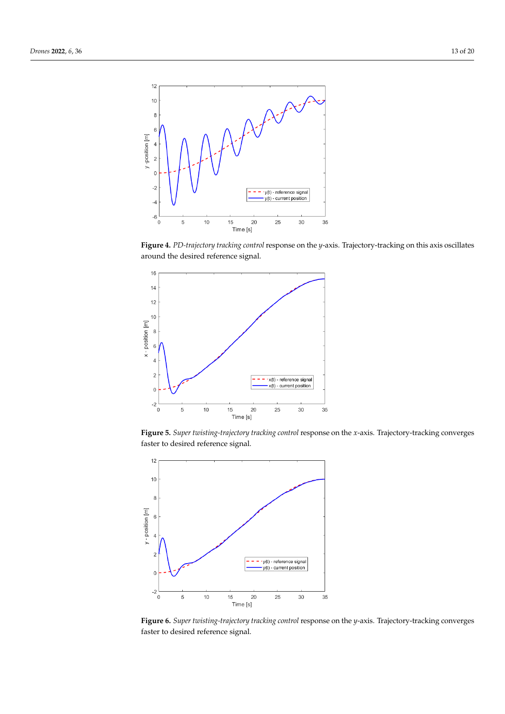<span id="page-12-1"></span>

**Figure 4.** *PD-trajectory tracking control* response on the *y*-axis. Trajectory-tracking on this axis oscillates around the desired reference signal.

<span id="page-12-2"></span>

**Figure 5.** *Super twisting-trajectory tracking control* response on the *x*-axis. Trajectory-tracking converges faster to desired reference signal.

<span id="page-12-0"></span>

**Figure 6.** *Super twisting-trajectory tracking control* response on the *y*-axis. Trajectory-tracking converges faster to desired reference signal.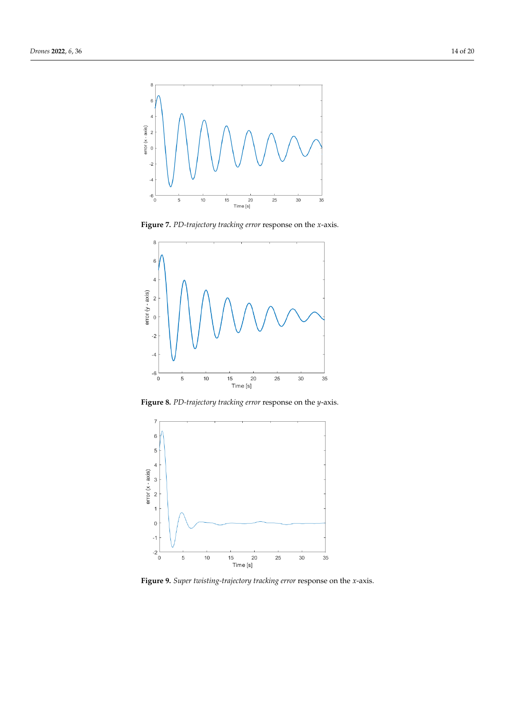<span id="page-13-0"></span>

**Figure 7.** *PD-trajectory tracking error* response on the *x*-axis.



**Figure 8.** *PD-trajectory tracking error* response on the *y*-axis.

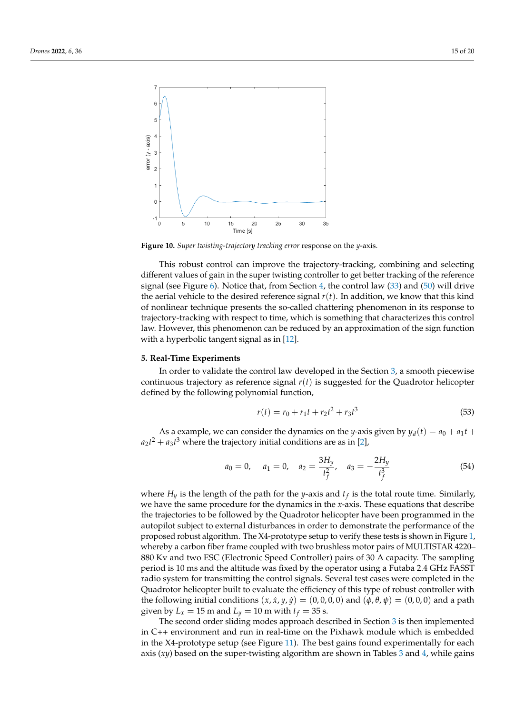<span id="page-14-1"></span>

**Figure 10.** *Super twisting-trajectory tracking error* response on the *y*-axis.

This robust control can improve the trajectory-tracking, combining and selecting different values of gain in the super twisting controller to get better tracking of the reference signal (see Figure [6\)](#page-12-0). Notice that, from Section [4,](#page-10-0) the control law  $(33)$  and  $(50)$  will drive the aerial vehicle to the desired reference signal *r*(*t*). In addition, we know that this kind of nonlinear technique presents the so-called chattering phenomenon in its response to trajectory-tracking with respect to time, which is something that characterizes this control law. However, this phenomenon can be reduced by an approximation of the sign function with a hyperbolic tangent signal as in [\[12\]](#page-18-8).

#### **5. Real-Time Experiments**

In order to validate the control law developed in the Section [3,](#page-5-0) a smooth piecewise continuous trajectory as reference signal *r*(*t*) is suggested for the Quadrotor helicopter defined by the following polynomial function,

<span id="page-14-0"></span>
$$
r(t) = r_0 + r_1 t + r_2 t^2 + r_3 t^3 \tag{53}
$$

As a example, we can consider the dynamics on the *y*-axis given by  $y_d(t) = a_0 + a_1t +$  $a_2t^2 + a_3t^3$  where the trajectory initial conditions are as in [\[2\]](#page-18-13),

$$
a_0 = 0
$$
,  $a_1 = 0$ ,  $a_2 = \frac{3H_y}{t_f^2}$ ,  $a_3 = -\frac{2H_y}{t_f^3}$  (54)

where *H<sup>y</sup>* is the length of the path for the *y*-axis and *t<sup>f</sup>* is the total route time. Similarly, we have the same procedure for the dynamics in the *x*-axis. These equations that describe the trajectories to be followed by the Quadrotor helicopter have been programmed in the autopilot subject to external disturbances in order to demonstrate the performance of the proposed robust algorithm. The X4-prototype setup to verify these tests is shown in Figure [1,](#page-4-0) whereby a carbon fiber frame coupled with two brushless motor pairs of MULTISTAR 4220– 880 Kv and two ESC (Electronic Speed Controller) pairs of 30 A capacity. The sampling period is 10 ms and the altitude was fixed by the operator using a Futaba 2.4 GHz FASST radio system for transmitting the control signals. Several test cases were completed in the Quadrotor helicopter built to evaluate the efficiency of this type of robust controller with the following initial conditions  $(x, \dot{x}, y, \dot{y}) = (0, 0, 0, 0)$  and  $(\phi, \theta, \psi) = (0, 0, 0)$  and a path given by  $L_x = 15$  m and  $L_y = 10$  m with  $t_f = 35$  s.

The second order sliding modes approach described in Section [3](#page-5-0) is then implemented in C++ environment and run in real-time on the Pixhawk module which is embedded in the X4-prototype setup (see Figure [11\)](#page-15-0). The best gains found experimentally for each axis (*xy*) based on the super-twisting algorithm are shown in Tables [3](#page-15-1) and [4,](#page-15-2) while gains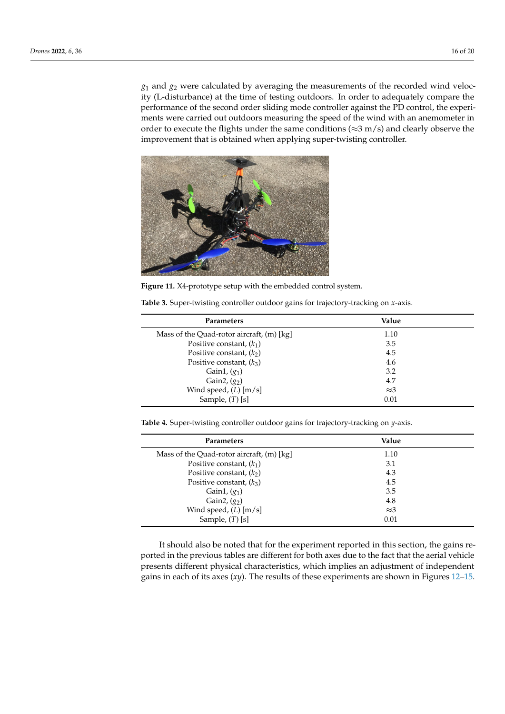*g*<sup>1</sup> and *g*<sup>2</sup> were calculated by averaging the measurements of the recorded wind velocity (L-disturbance) at the time of testing outdoors. In order to adequately compare the performance of the second order sliding mode controller against the PD control, the experiments were carried out outdoors measuring the speed of the wind with an anemometer in order to execute the flights under the same conditions ( $\approx$ 3 m/s) and clearly observe the improvement that is obtained when applying super-twisting controller.

<span id="page-15-0"></span>

**Figure 11.** X4-prototype setup with the embedded control system.

| Parameters                                | Value       |  |
|-------------------------------------------|-------------|--|
| Mass of the Quad-rotor aircraft, (m) [kg] | 1.10        |  |
| Positive constant, $(k_1)$                | 3.5         |  |
| Positive constant, $(k2)$                 | 4.5         |  |
| Positive constant, $(k_3)$                | 4.6         |  |
| Gain1, $(g_1)$                            | 3.2         |  |
| Gain2, $(g2)$                             | 4.7         |  |
| Wind speed, $(L)$ [m/s]                   | $\approx$ 3 |  |
| Sample, $(T)$ [s]                         | 0.01        |  |

<span id="page-15-1"></span>**Table 3.** Super-twisting controller outdoor gains for trajectory-tracking on *x*-axis.

<span id="page-15-2"></span>**Table 4.** Super-twisting controller outdoor gains for trajectory-tracking on *y*-axis.

| Parameters                                | Value       |
|-------------------------------------------|-------------|
| Mass of the Quad-rotor aircraft, (m) [kg] | 1.10        |
| Positive constant, $(k_1)$                | 3.1         |
| Positive constant, $(k2)$                 | 4.3         |
| Positive constant, $(k_3)$                | 4.5         |
| Gain1, $(g_1)$                            | 3.5         |
| Gain2, $(g2)$                             | 4.8         |
| Wind speed, $(L)$ [m/s]                   | $\approx$ 3 |
| Sample, $(T)$ [s]                         | 0.01        |

It should also be noted that for the experiment reported in this section, the gains reported in the previous tables are different for both axes due to the fact that the aerial vehicle presents different physical characteristics, which implies an adjustment of independent gains in each of its axes (*xy*). The results of these experiments are shown in Figures [12](#page-16-0)[–15.](#page-17-1)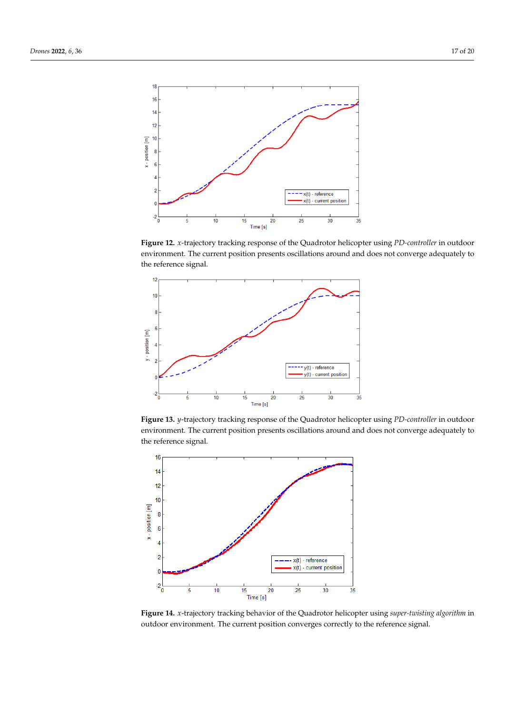<span id="page-16-0"></span>

**Figure 12.** *x*-trajectory tracking response of the Quadrotor helicopter using *PD-controller* in outdoor environment. The current position presents oscillations around and does not converge adequately to the reference signal.

<span id="page-16-2"></span>

**Figure 13.** *y*-trajectory tracking response of the Quadrotor helicopter using *PD-controller* in outdoor environment. The current position presents oscillations around and does not converge adequately to the reference signal.

<span id="page-16-1"></span>

**Figure 14.** *x*-trajectory tracking behavior of the Quadrotor helicopter using *super-twisting algorithm* in outdoor environment. The current position converges correctly to the reference signal.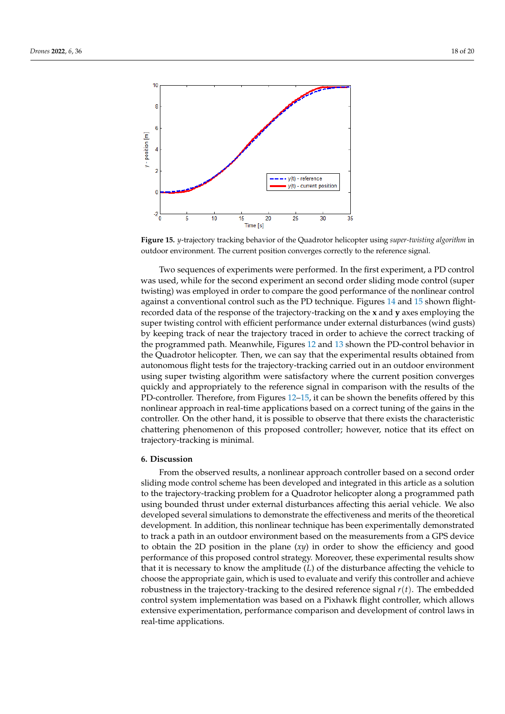<span id="page-17-1"></span>

**Figure 15.** *y*-trajectory tracking behavior of the Quadrotor helicopter using *super-twisting algorithm* in outdoor environment. The current position converges correctly to the reference signal.

Two sequences of experiments were performed. In the first experiment, a PD control was used, while for the second experiment an second order sliding mode control (super twisting) was employed in order to compare the good performance of the nonlinear control against a conventional control such as the PD technique. Figures [14](#page-16-1) and [15](#page-17-1) shown flightrecorded data of the response of the trajectory-tracking on the **x** and **y** axes employing the super twisting control with efficient performance under external disturbances (wind gusts) by keeping track of near the trajectory traced in order to achieve the correct tracking of the programmed path. Meanwhile, Figures [12](#page-16-0) and [13](#page-16-2) shown the PD-control behavior in the Quadrotor helicopter. Then, we can say that the experimental results obtained from autonomous flight tests for the trajectory-tracking carried out in an outdoor environment using super twisting algorithm were satisfactory where the current position converges quickly and appropriately to the reference signal in comparison with the results of the PD-controller. Therefore, from Figures [12](#page-16-0)[–15,](#page-17-1) it can be shown the benefits offered by this nonlinear approach in real-time applications based on a correct tuning of the gains in the controller. On the other hand, it is possible to observe that there exists the characteristic chattering phenomenon of this proposed controller; however, notice that its effect on trajectory-tracking is minimal.

### <span id="page-17-0"></span>**6. Discussion**

From the observed results, a nonlinear approach controller based on a second order sliding mode control scheme has been developed and integrated in this article as a solution to the trajectory-tracking problem for a Quadrotor helicopter along a programmed path using bounded thrust under external disturbances affecting this aerial vehicle. We also developed several simulations to demonstrate the effectiveness and merits of the theoretical development. In addition, this nonlinear technique has been experimentally demonstrated to track a path in an outdoor environment based on the measurements from a GPS device to obtain the 2D position in the plane (*xy*) in order to show the efficiency and good performance of this proposed control strategy. Moreover, these experimental results show that it is necessary to know the amplitude (*L*) of the disturbance affecting the vehicle to choose the appropriate gain, which is used to evaluate and verify this controller and achieve robustness in the trajectory-tracking to the desired reference signal *r*(*t*). The embedded control system implementation was based on a Pixhawk flight controller, which allows extensive experimentation, performance comparison and development of control laws in real-time applications.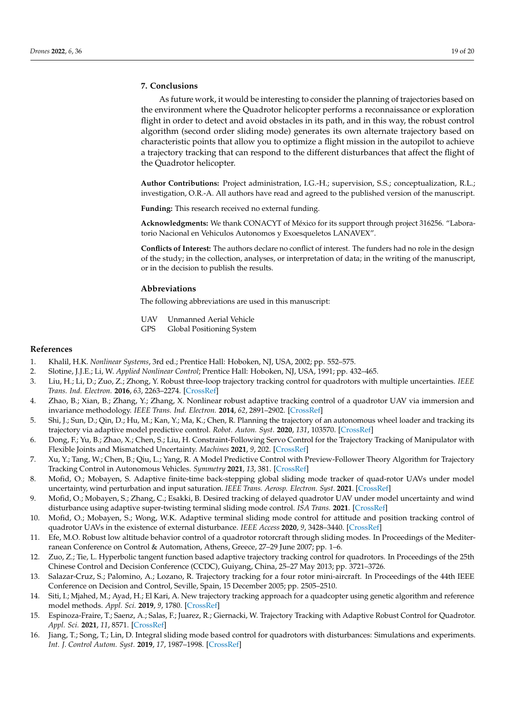# **7. Conclusions**

As future work, it would be interesting to consider the planning of trajectories based on the environment where the Quadrotor helicopter performs a reconnaissance or exploration flight in order to detect and avoid obstacles in its path, and in this way, the robust control algorithm (second order sliding mode) generates its own alternate trajectory based on characteristic points that allow you to optimize a flight mission in the autopilot to achieve a trajectory tracking that can respond to the different disturbances that affect the flight of the Quadrotor helicopter.

**Author Contributions:** Project administration, I.G.-H.; supervision, S.S.; conceptualization, R.L.; investigation, O.R.-A. All authors have read and agreed to the published version of the manuscript.

**Funding:** This research received no external funding.

**Acknowledgments:** We thank CONACYT of México for its support through project 316256. "Laboratorio Nacional en Vehiculos Autonomos y Exoesqueletos LANAVEX".

**Conflicts of Interest:** The authors declare no conflict of interest. The funders had no role in the design of the study; in the collection, analyses, or interpretation of data; in the writing of the manuscript, or in the decision to publish the results.

#### **Abbreviations**

The following abbreviations are used in this manuscript:

- UAV Unmanned Aerial Vehicle
- GPS Global Positioning System

### **References**

- <span id="page-18-0"></span>1. Khalil, H.K. *Nonlinear Systems*, 3rd ed.; Prentice Hall: Hoboken, NJ, USA, 2002; pp. 552–575.
- <span id="page-18-13"></span>2. Slotine, J.J.E.; Li, W. *Applied Nonlinear Control*; Prentice Hall: Hoboken, NJ, USA, 1991; pp. 432–465.
- 3. Liu, H.; Li, D.; Zuo, Z.; Zhong, Y. Robust three-loop trajectory tracking control for quadrotors with multiple uncertainties. *IEEE Trans. Ind. Electron.* **2016**, *63*, 2263–2274. [\[CrossRef\]](http://doi.org/10.1109/TIE.2016.2514339)
- <span id="page-18-1"></span>4. Zhao, B.; Xian, B.; Zhang, Y.; Zhang, X. Nonlinear robust adaptive tracking control of a quadrotor UAV via immersion and invariance methodology. *IEEE Trans. Ind. Electron.* **2014**, *62*, 2891–2902. [\[CrossRef\]](http://dx.doi.org/10.1109/TIE.2014.2364982)
- <span id="page-18-2"></span>5. Shi, J.; Sun, D.; Qin, D.; Hu, M.; Kan, Y.; Ma, K.; Chen, R. Planning the trajectory of an autonomous wheel loader and tracking its trajectory via adaptive model predictive control. *Robot. Auton. Syst.* **2020**, *131*, 103570. [\[CrossRef\]](http://dx.doi.org/10.1016/j.robot.2020.103570)
- 6. Dong, F.; Yu, B.; Zhao, X.; Chen, S.; Liu, H. Constraint-Following Servo Control for the Trajectory Tracking of Manipulator with Flexible Joints and Mismatched Uncertainty. *Machines* **2021**, *9*, 202. [\[CrossRef\]](http://dx.doi.org/10.3390/machines9090202)
- <span id="page-18-3"></span>7. Xu, Y.; Tang, W.; Chen, B.; Qiu, L.; Yang, R. A Model Predictive Control with Preview-Follower Theory Algorithm for Trajectory Tracking Control in Autonomous Vehicles. *Symmetry* **2021**, *13*, 381. [\[CrossRef\]](http://dx.doi.org/10.3390/sym13030381)
- <span id="page-18-4"></span>8. Mofid, O.; Mobayen, S. Adaptive finite-time back-stepping global sliding mode tracker of quad-rotor UAVs under model uncertainty, wind perturbation and input saturation. *IEEE Trans. Aerosp. Electron. Syst.* **2021**. [\[CrossRef\]](http://dx.doi.org/10.1109/TAES.2021.3098168)
- <span id="page-18-5"></span>9. Mofid, O.; Mobayen, S.; Zhang, C.; Esakki, B. Desired tracking of delayed quadrotor UAV under model uncertainty and wind disturbance using adaptive super-twisting terminal sliding mode control. *ISA Trans.* **2021**. [\[CrossRef\]](http://dx.doi.org/10.1016/j.isatra.2021.06.002)
- <span id="page-18-6"></span>10. Mofid, O.; Mobayen, S.; Wong, W.K. Adaptive terminal sliding mode control for attitude and position tracking control of quadrotor UAVs in the existence of external disturbance. *IEEE Access* **2020**, *9*, 3428–3440. [\[CrossRef\]](http://dx.doi.org/10.1109/ACCESS.2020.3047659)
- <span id="page-18-7"></span>11. Efe, M.O. Robust low altitude behavior control of a quadrotor rotorcraft through sliding modes. In Proceedings of the Mediterranean Conference on Control & Automation, Athens, Greece, 27–29 June 2007; pp. 1–6.
- <span id="page-18-8"></span>12. Zuo, Z.; Tie, L. Hyperbolic tangent function based adaptive trajectory tracking control for quadrotors. In Proceedings of the 25th Chinese Control and Decision Conference (CCDC), Guiyang, China, 25–27 May 2013; pp. 3721–3726.
- <span id="page-18-9"></span>13. Salazar-Cruz, S.; Palomino, A.; Lozano, R. Trajectory tracking for a four rotor mini-aircraft. In Proceedings of the 44th IEEE Conference on Decision and Control, Seville, Spain, 15 December 2005; pp. 2505–2510.
- <span id="page-18-10"></span>14. Siti, I.; Mjahed, M.; Ayad, H.; El Kari, A. New trajectory tracking approach for a quadcopter using genetic algorithm and reference model methods. *Appl. Sci.* **2019**, *9*, 1780. [\[CrossRef\]](http://dx.doi.org/10.3390/app9091780)
- <span id="page-18-11"></span>15. Espinoza-Fraire, T.; Saenz, A.; Salas, F.; Juarez, R.; Giernacki, W. Trajectory Tracking with Adaptive Robust Control for Quadrotor. *Appl. Sci.* **2021**, *11*, 8571. [\[CrossRef\]](http://dx.doi.org/10.3390/app11188571)
- <span id="page-18-12"></span>16. Jiang, T.; Song, T.; Lin, D. Integral sliding mode based control for quadrotors with disturbances: Simulations and experiments. *Int. J. Control Autom. Syst.* **2019**, *17*, 1987–1998. [\[CrossRef\]](http://dx.doi.org/10.1007/s12555-018-0500-4)